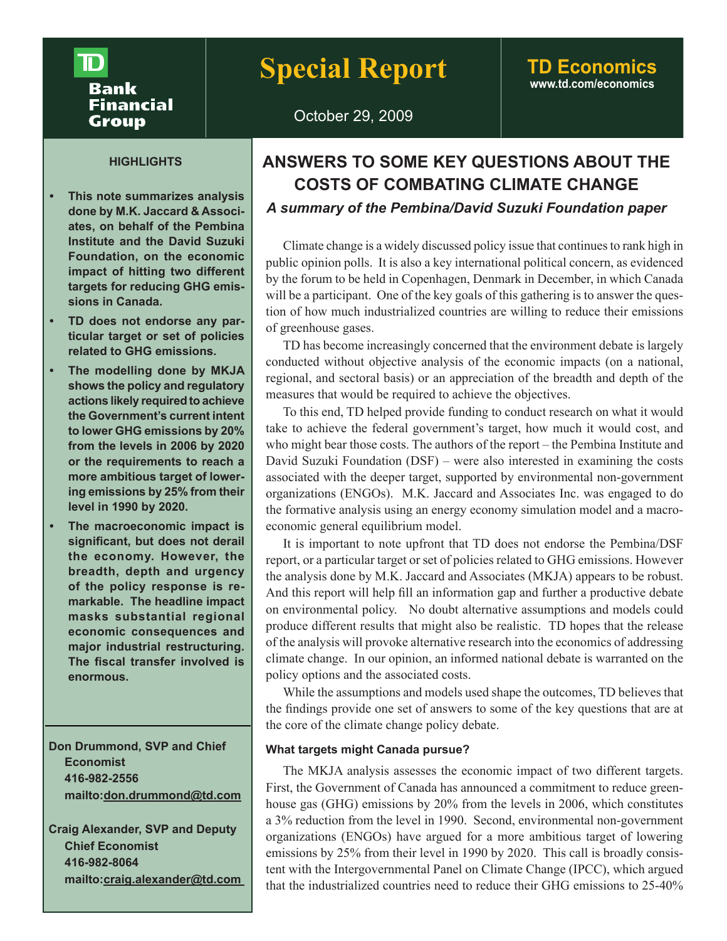# ${\bf D}$ **Bank Financial Group**

# **Special Report TD Economics**

# **www.td.com/economics**

October 29, 2009

# **HIGHLIGHTS**

- **• This note summarizes analysis done by M.K. Jaccard & Associates, on behalf of the Pembina Institute and the David Suzuki Foundation, on the economic impact of hitting two different targets for reducing GHG emissions in Canada.**
- **• TD does not endorse any particular target or set of policies related to GHG emissions.**
- **• The modelling done by MKJA shows the policy and regulatory actions likely required to achieve the Government's current intent to lower GHG emissions by 20% from the levels in 2006 by 2020 or the requirements to reach a more ambitious target of lowering emissions by 25% from their level in 1990 by 2020.**
- **• The macroeconomic impact is significant, but does not derail the economy. However, the breadth, depth and urgency of the policy response is remarkable. The headline impact masks substantial regional economic consequences and major industrial restructuring. The fiscal transfer involved is enormous.**

**Don Drummond, SVP and Chief Economist 416-982-2556 mailto:don.drummond@td.com**

**Craig Alexander, SVP and Deputy Chief Economist 416-982-8064 mailto:craig.alexander@td.com**

# **ANSWERS TO SOME KEY QUESTIONS ABOUT THE COSTS OF COMBATING CLIMATE CHANGE** *A summary of the Pembina/David Suzuki Foundation paper*

Climate change is a widely discussed policy issue that continues to rank high in public opinion polls. It is also a key international political concern, as evidenced by the forum to be held in Copenhagen, Denmark in December, in which Canada will be a participant. One of the key goals of this gathering is to answer the question of how much industrialized countries are willing to reduce their emissions of greenhouse gases.

TD has become increasingly concerned that the environment debate is largely conducted without objective analysis of the economic impacts (on a national, regional, and sectoral basis) or an appreciation of the breadth and depth of the measures that would be required to achieve the objectives.

To this end, TD helped provide funding to conduct research on what it would take to achieve the federal government's target, how much it would cost, and who might bear those costs. The authors of the report – the Pembina Institute and David Suzuki Foundation (DSF) – were also interested in examining the costs associated with the deeper target, supported by environmental non-government organizations (ENGOs). M.K. Jaccard and Associates Inc. was engaged to do the formative analysis using an energy economy simulation model and a macroeconomic general equilibrium model.

It is important to note upfront that TD does not endorse the Pembina/DSF report, or a particular target or set of policies related to GHG emissions. However the analysis done by M.K. Jaccard and Associates (MKJA) appears to be robust. And this report will help fill an information gap and further a productive debate on environmental policy. No doubt alternative assumptions and models could produce different results that might also be realistic. TD hopes that the release of the analysis will provoke alternative research into the economics of addressing climate change. In our opinion, an informed national debate is warranted on the policy options and the associated costs.

While the assumptions and models used shape the outcomes, TD believes that the findings provide one set of answers to some of the key questions that are at the core of the climate change policy debate.

# **What targets might Canada pursue?**

The MKJA analysis assesses the economic impact of two different targets. First, the Government of Canada has announced a commitment to reduce greenhouse gas (GHG) emissions by 20% from the levels in 2006, which constitutes a 3% reduction from the level in 1990. Second, environmental non-government organizations (ENGOs) have argued for a more ambitious target of lowering emissions by 25% from their level in 1990 by 2020. This call is broadly consistent with the Intergovernmental Panel on Climate Change (IPCC), which argued that the industrialized countries need to reduce their GHG emissions to 25-40%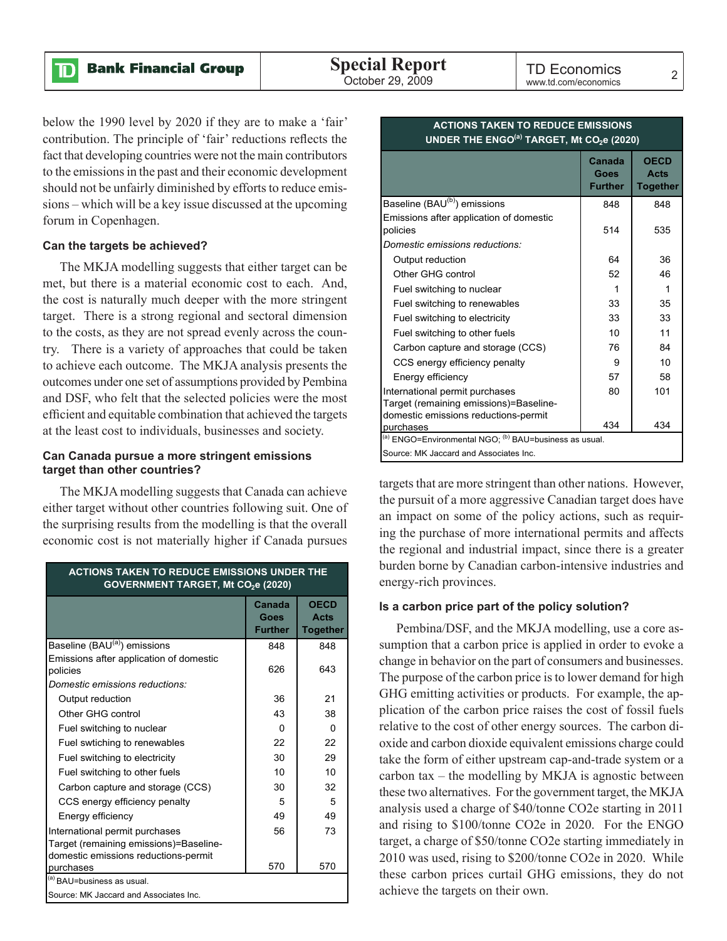below the 1990 level by 2020 if they are to make a 'fair' contribution. The principle of 'fair' reductions reflects the fact that developing countries were not the main contributors to the emissions in the past and their economic development should not be unfairly diminished by efforts to reduce emissions – which will be a key issue discussed at the upcoming forum in Copenhagen.

#### **Can the targets be achieved?**

ID

The MKJA modelling suggests that either target can be met, but there is a material economic cost to each. And, the cost is naturally much deeper with the more stringent target. There is a strong regional and sectoral dimension to the costs, as they are not spread evenly across the country. There is a variety of approaches that could be taken to achieve each outcome. The MKJA analysis presents the outcomes under one set of assumptions provided by Pembina and DSF, who felt that the selected policies were the most efficient and equitable combination that achieved the targets at the least cost to individuals, businesses and society.

### **Can Canada pursue a more stringent emissions target than other countries?**

The MKJA modelling suggests that Canada can achieve either target without other countries following suit. One of the surprising results from the modelling is that the overall economic cost is not materially higher if Canada pursues

| <b>ACTIONS TAKEN TO REDUCE EMISSIONS UNDER THE</b><br>GOVERNMENT TARGET, Mt CO <sub>2</sub> e (2020) |                                  |                                        |  |  |  |  |
|------------------------------------------------------------------------------------------------------|----------------------------------|----------------------------------------|--|--|--|--|
|                                                                                                      | Canada<br>Goes<br><b>Further</b> | <b>OECD</b><br>Acts<br><b>Together</b> |  |  |  |  |
| Baseline (BAU <sup>(a)</sup> ) emissions                                                             | 848                              | 848                                    |  |  |  |  |
| Emissions after application of domestic<br>policies                                                  | 626                              | 643                                    |  |  |  |  |
| Domestic emissions reductions:                                                                       |                                  |                                        |  |  |  |  |
| Output reduction                                                                                     | 36                               | 21                                     |  |  |  |  |
| Other GHG control                                                                                    | 43                               | 38                                     |  |  |  |  |
| Fuel switching to nuclear                                                                            | $\Omega$                         | 0                                      |  |  |  |  |
| Fuel swtiching to renewables                                                                         | 22                               | 22                                     |  |  |  |  |
| Fuel switching to electricity                                                                        | 30                               | 29                                     |  |  |  |  |
| Fuel switching to other fuels                                                                        | 10                               | 10                                     |  |  |  |  |
| Carbon capture and storage (CCS)                                                                     | 30                               | 32                                     |  |  |  |  |
| CCS energy efficiency penalty                                                                        | 5                                | 5                                      |  |  |  |  |
| Energy efficiency                                                                                    | 49                               | 49                                     |  |  |  |  |
| International permit purchases                                                                       | 56                               | 73                                     |  |  |  |  |
| Target (remaining emissions)=Baseline-                                                               |                                  |                                        |  |  |  |  |
| domestic emissions reductions-permit                                                                 |                                  |                                        |  |  |  |  |
| purchases                                                                                            | 570                              | 570                                    |  |  |  |  |
| (a) BAU=business as usual.                                                                           |                                  |                                        |  |  |  |  |
| Source: MK Jaccard and Associates Inc.                                                               |                                  |                                        |  |  |  |  |

| UNDER THE ENGO <sup>(a)</sup> TARGET, Mt CO <sub>2</sub> e (2020)                                                |                                  |                                               |  |  |  |
|------------------------------------------------------------------------------------------------------------------|----------------------------------|-----------------------------------------------|--|--|--|
|                                                                                                                  | Canada<br>Goes<br><b>Further</b> | <b>OECD</b><br><b>Acts</b><br><b>Together</b> |  |  |  |
| Baseline (BAU <sup>(b)</sup> ) emissions                                                                         | 848                              | 848                                           |  |  |  |
| Emissions after application of domestic<br>policies                                                              | 514                              | 535                                           |  |  |  |
| Domestic emissions reductions:                                                                                   |                                  |                                               |  |  |  |
| Output reduction                                                                                                 | 64                               | 36                                            |  |  |  |
| Other GHG control                                                                                                | 52                               | 46                                            |  |  |  |
| Fuel switching to nuclear                                                                                        | 1                                | 1                                             |  |  |  |
| Fuel switching to renewables                                                                                     | 33                               | 35                                            |  |  |  |
| Fuel switching to electricity                                                                                    | 33                               | 33                                            |  |  |  |
| Fuel switching to other fuels                                                                                    | 10                               | 11                                            |  |  |  |
| Carbon capture and storage (CCS)                                                                                 | 76                               | 84                                            |  |  |  |
| CCS energy efficiency penalty                                                                                    | 9                                | 10                                            |  |  |  |
| Energy efficiency                                                                                                | 57                               | 58                                            |  |  |  |
| International permit purchases<br>Target (remaining emissions)=Baseline-<br>domestic emissions reductions-permit | 80                               | 101                                           |  |  |  |
| purchases                                                                                                        | 434                              | 434                                           |  |  |  |
| (a) ENGO=Environmental NGO; (b) BAU=business as usual.                                                           |                                  |                                               |  |  |  |
| Source: MK Jaccard and Associates Inc.                                                                           |                                  |                                               |  |  |  |

# **ACTIONS TAKEN TO REDUCE EMISSIONS**

targets that are more stringent than other nations. However, the pursuit of a more aggressive Canadian target does have an impact on some of the policy actions, such as requiring the purchase of more international permits and affects the regional and industrial impact, since there is a greater burden borne by Canadian carbon-intensive industries and energy-rich provinces.

#### **Is a carbon price part of the policy solution?**

Pembina/DSF, and the MKJA modelling, use a core assumption that a carbon price is applied in order to evoke a change in behavior on the part of consumers and businesses. The purpose of the carbon price is to lower demand for high GHG emitting activities or products. For example, the application of the carbon price raises the cost of fossil fuels relative to the cost of other energy sources. The carbon dioxide and carbon dioxide equivalent emissions charge could take the form of either upstream cap-and-trade system or a carbon tax – the modelling by MKJA is agnostic between these two alternatives. For the government target, the MKJA analysis used a charge of \$40/tonne CO2e starting in 2011 and rising to \$100/tonne CO2e in 2020. For the ENGO target, a charge of \$50/tonne CO2e starting immediately in 2010 was used, rising to \$200/tonne CO2e in 2020. While these carbon prices curtail GHG emissions, they do not achieve the targets on their own.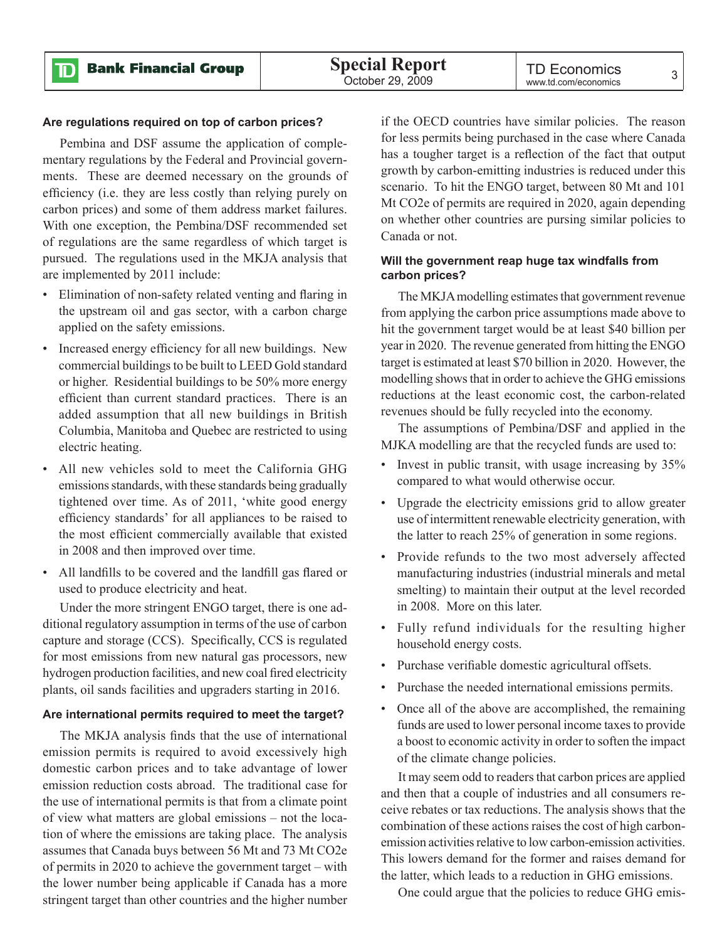ID

#### **Are regulations required on top of carbon prices?**

Pembina and DSF assume the application of complementary regulations by the Federal and Provincial governments. These are deemed necessary on the grounds of efficiency (i.e. they are less costly than relying purely on carbon prices) and some of them address market failures. With one exception, the Pembina/DSF recommended set of regulations are the same regardless of which target is pursued. The regulations used in the MKJA analysis that are implemented by 2011 include:

- Elimination of non-safety related venting and flaring in the upstream oil and gas sector, with a carbon charge applied on the safety emissions.
- Increased energy efficiency for all new buildings. New commercial buildings to be built to LEED Gold standard or higher. Residential buildings to be 50% more energy efficient than current standard practices. There is an added assumption that all new buildings in British Columbia, Manitoba and Quebec are restricted to using electric heating.
- All new vehicles sold to meet the California GHG emissions standards, with these standards being gradually tightened over time. As of 2011, 'white good energy efficiency standards' for all appliances to be raised to the most efficient commercially available that existed in 2008 and then improved over time.
- All landfills to be covered and the landfill gas flared or used to produce electricity and heat.

Under the more stringent ENGO target, there is one additional regulatory assumption in terms of the use of carbon capture and storage (CCS). Specifically, CCS is regulated for most emissions from new natural gas processors, new hydrogen production facilities, and new coal fired electricity plants, oil sands facilities and upgraders starting in 2016.

# **Are international permits required to meet the target?**

The MKJA analysis finds that the use of international emission permits is required to avoid excessively high domestic carbon prices and to take advantage of lower emission reduction costs abroad. The traditional case for the use of international permits is that from a climate point of view what matters are global emissions – not the location of where the emissions are taking place. The analysis assumes that Canada buys between 56 Mt and 73 Mt CO2e of permits in 2020 to achieve the government target – with the lower number being applicable if Canada has a more stringent target than other countries and the higher number

if the OECD countries have similar policies. The reason for less permits being purchased in the case where Canada has a tougher target is a reflection of the fact that output growth by carbon-emitting industries is reduced under this scenario. To hit the ENGO target, between 80 Mt and 101 Mt CO2e of permits are required in 2020, again depending on whether other countries are pursing similar policies to Canada or not.

# **Will the government reap huge tax windfalls from carbon prices?**

The MKJA modelling estimates that government revenue from applying the carbon price assumptions made above to hit the government target would be at least \$40 billion per year in 2020. The revenue generated from hitting the ENGO target is estimated at least \$70 billion in 2020. However, the modelling shows that in order to achieve the GHG emissions reductions at the least economic cost, the carbon-related revenues should be fully recycled into the economy.

The assumptions of Pembina/DSF and applied in the MJKA modelling are that the recycled funds are used to:

- Invest in public transit, with usage increasing by  $35\%$ compared to what would otherwise occur.
- Upgrade the electricity emissions grid to allow greater use of intermittent renewable electricity generation, with the latter to reach 25% of generation in some regions.
- Provide refunds to the two most adversely affected manufacturing industries (industrial minerals and metal smelting) to maintain their output at the level recorded in 2008. More on this later.
- Fully refund individuals for the resulting higher household energy costs.
- Purchase verifiable domestic agricultural offsets.
- Purchase the needed international emissions permits.
- Once all of the above are accomplished, the remaining funds are used to lower personal income taxes to provide a boost to economic activity in order to soften the impact of the climate change policies.

It may seem odd to readers that carbon prices are applied and then that a couple of industries and all consumers receive rebates or tax reductions. The analysis shows that the combination of these actions raises the cost of high carbonemission activities relative to low carbon-emission activities. This lowers demand for the former and raises demand for the latter, which leads to a reduction in GHG emissions.

One could argue that the policies to reduce GHG emis-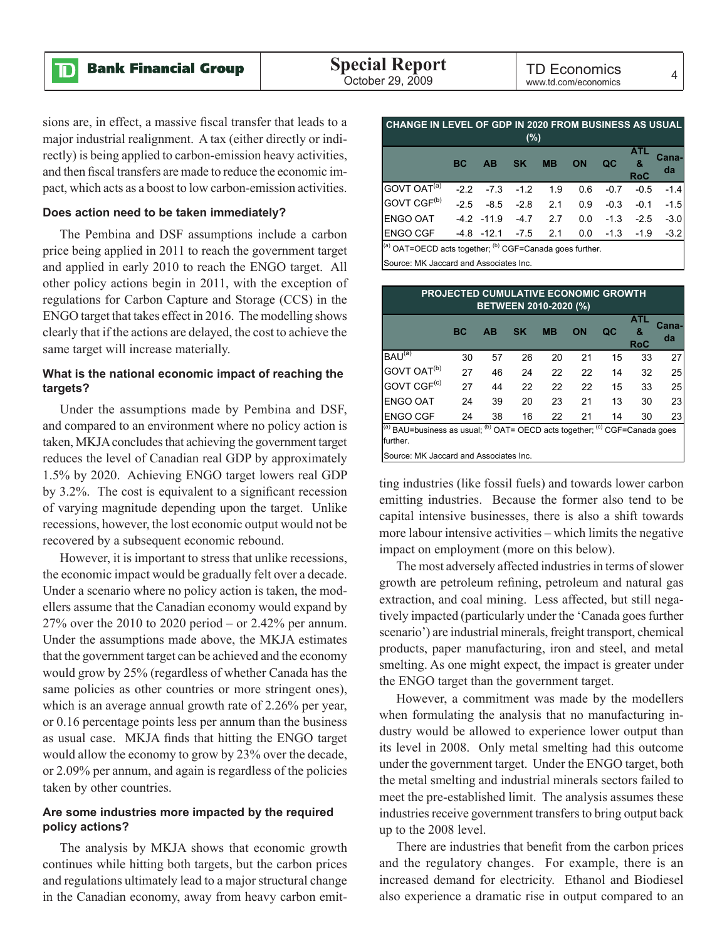$\mathbf D$ 

TD Economics TD LCONOMICS 4

sions are, in effect, a massive fiscal transfer that leads to a major industrial realignment. A tax (either directly or indirectly) is being applied to carbon-emission heavy activities, and then fiscal transfers are made to reduce the economic impact, which acts as a boost to low carbon-emission activities.

#### **Does action need to be taken immediately?**

The Pembina and DSF assumptions include a carbon price being applied in 2011 to reach the government target and applied in early 2010 to reach the ENGO target. All other policy actions begin in 2011, with the exception of regulations for Carbon Capture and Storage (CCS) in the ENGO target that takes effect in 2016. The modelling shows clearly that if the actions are delayed, the cost to achieve the same target will increase materially.

# **What is the national economic impact of reaching the targets?**

Under the assumptions made by Pembina and DSF, and compared to an environment where no policy action is taken, MKJA concludes that achieving the government target reduces the level of Canadian real GDP by approximately 1.5% by 2020. Achieving ENGO target lowers real GDP by 3.2%. The cost is equivalent to a significant recession of varying magnitude depending upon the target. Unlike recessions, however, the lost economic output would not be recovered by a subsequent economic rebound.

However, it is important to stress that unlike recessions, the economic impact would be gradually felt over a decade. Under a scenario where no policy action is taken, the modellers assume that the Canadian economy would expand by 27% over the 2010 to 2020 period – or 2.42% per annum. Under the assumptions made above, the MKJA estimates that the government target can be achieved and the economy would grow by 25% (regardless of whether Canada has the same policies as other countries or more stringent ones), which is an average annual growth rate of 2.26% per year, or 0.16 percentage points less per annum than the business as usual case. MKJA finds that hitting the ENGO target would allow the economy to grow by 23% over the decade, or 2.09% per annum, and again is regardless of the policies taken by other countries.

## **Are some industries more impacted by the required policy actions?**

The analysis by MKJA shows that economic growth continues while hitting both targets, but the carbon prices and regulations ultimately lead to a major structural change in the Canadian economy, away from heavy carbon emit-

| <u>UILOU DI LEVEL UI ODFIINZUZU I NOMIDUUMEUU AU UUUAE</u><br>$(\%)$ |              |               |           |           |     |        |                        |             |
|----------------------------------------------------------------------|--------------|---------------|-----------|-----------|-----|--------|------------------------|-------------|
|                                                                      | <b>BC</b>    | <b>AB</b>     | <b>SK</b> | <b>MB</b> | ON  | QC     | ATL<br>&<br><b>RoC</b> | Cana-<br>da |
| GOVT OAT <sup>(a)</sup>                                              |              | $-2.2 - 7.3$  | $-1.2$    | 1.9       | 0.6 | $-0.7$ | $-0.5$                 | $-1.4$      |
| GOVT CGF <sup>(b)</sup>                                              | $-2.5$       | $-8.5$        | $-2.8$    | 2.1       | 0.9 | $-0.3$ | $-0.1$                 | $-1.5$      |
| ENGO OAT                                                             | $-4.2 -11.9$ |               | $-4.7$    | 2.7       | 0.0 | $-1.3$ | $-2.5$                 | $-3.0$      |
| <b>ENGO CGF</b>                                                      |              | $-4.8 - 12.1$ | $-7.5$    | 2.1       | 0.0 |        | $-1.3 - 1.9$           | $-3.2$      |
| (a) OAT=OECD acts together; (b) CGF=Canada goes further.             |              |               |           |           |     |        |                        |             |

CHANGE IN LEVEL OF GDP IN 2020 FROM BUSINESS AS USUAL

Source: MK Jaccard and Associates Inc.

| <b>PROJECTED CUMULATIVE ECONOMIC GROWTH</b><br>BETWEEN 2010-2020 (%)                    |    |           |           |           |           |    |                               |             |
|-----------------------------------------------------------------------------------------|----|-----------|-----------|-----------|-----------|----|-------------------------------|-------------|
|                                                                                         | BC | <b>AB</b> | <b>SK</b> | <b>MB</b> | <b>ON</b> | OC | <b>ATL</b><br>&<br><b>RoC</b> | Cana-<br>da |
| BAU <sup>(a)</sup>                                                                      | 30 | 57        | 26        | 20        | 21        | 15 | 33                            | 27          |
| GOVT OAT <sup>(b)</sup>                                                                 | 27 | 46        | 24        | 22        | 22        | 14 | 32                            | 25          |
| GOVT CGF <sup>(c)</sup>                                                                 | 27 | 44        | 22        | 22        | 22        | 15 | 33                            | 25          |
| <b>ENGO OAT</b>                                                                         | 24 | 39        | 20        | 23        | 21        | 13 | 30                            | 23          |
| <b>ENGO CGF</b>                                                                         | 24 | 38        | 16        | 22        | 21        | 14 | 30                            | 23          |
| (a) BAU=business as usual; (b) OAT= OECD acts together; (c) CGF=Canada goes<br>further. |    |           |           |           |           |    |                               |             |
| Source: MK Jaccard and Associates Inc.                                                  |    |           |           |           |           |    |                               |             |

ting industries (like fossil fuels) and towards lower carbon emitting industries. Because the former also tend to be capital intensive businesses, there is also a shift towards more labour intensive activities – which limits the negative impact on employment (more on this below).

The most adversely affected industries in terms of slower growth are petroleum refining, petroleum and natural gas extraction, and coal mining. Less affected, but still negatively impacted (particularly under the 'Canada goes further scenario') are industrial minerals, freight transport, chemical products, paper manufacturing, iron and steel, and metal smelting. As one might expect, the impact is greater under the ENGO target than the government target.

However, a commitment was made by the modellers when formulating the analysis that no manufacturing industry would be allowed to experience lower output than its level in 2008. Only metal smelting had this outcome under the government target. Under the ENGO target, both the metal smelting and industrial minerals sectors failed to meet the pre-established limit. The analysis assumes these industries receive government transfers to bring output back up to the 2008 level.

There are industries that benefit from the carbon prices and the regulatory changes. For example, there is an increased demand for electricity. Ethanol and Biodiesel also experience a dramatic rise in output compared to an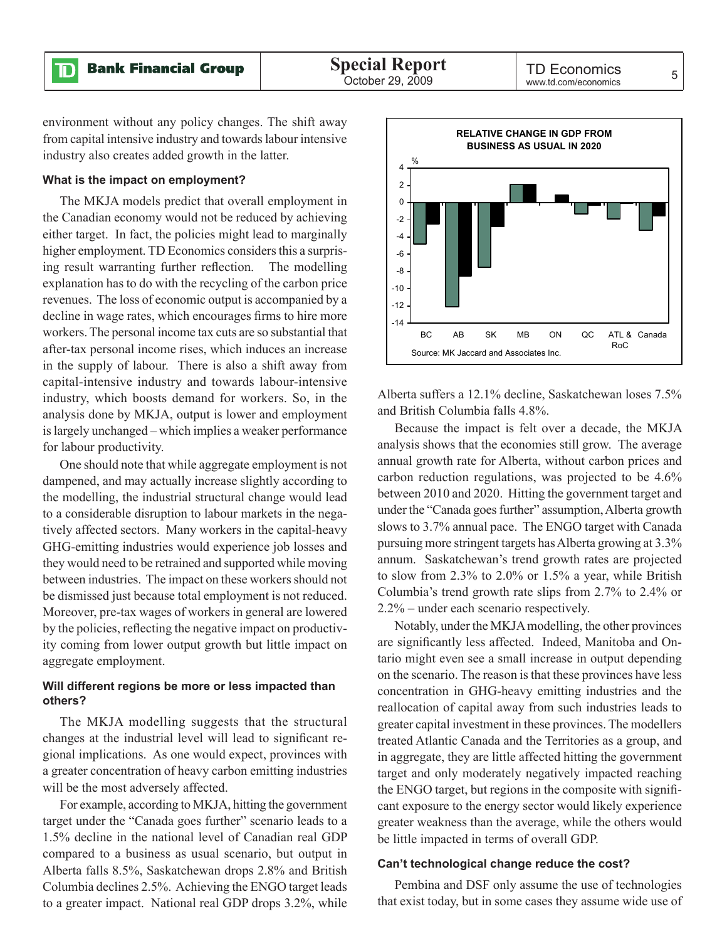ID

environment without any policy changes. The shift away from capital intensive industry and towards labour intensive industry also creates added growth in the latter.

### **What is the impact on employment?**

The MKJA models predict that overall employment in the Canadian economy would not be reduced by achieving either target. In fact, the policies might lead to marginally higher employment. TD Economics considers this a surprising result warranting further reflection. The modelling explanation has to do with the recycling of the carbon price revenues. The loss of economic output is accompanied by a decline in wage rates, which encourages firms to hire more workers. The personal income tax cuts are so substantial that after-tax personal income rises, which induces an increase in the supply of labour. There is also a shift away from capital-intensive industry and towards labour-intensive industry, which boosts demand for workers. So, in the analysis done by MKJA, output is lower and employment is largely unchanged – which implies a weaker performance for labour productivity.

One should note that while aggregate employment is not dampened, and may actually increase slightly according to the modelling, the industrial structural change would lead to a considerable disruption to labour markets in the negatively affected sectors. Many workers in the capital-heavy GHG-emitting industries would experience job losses and they would need to be retrained and supported while moving between industries. The impact on these workers should not be dismissed just because total employment is not reduced. Moreover, pre-tax wages of workers in general are lowered by the policies, reflecting the negative impact on productivity coming from lower output growth but little impact on aggregate employment.

# **Will different regions be more or less impacted than others?**

The MKJA modelling suggests that the structural changes at the industrial level will lead to significant regional implications. As one would expect, provinces with a greater concentration of heavy carbon emitting industries will be the most adversely affected.

For example, according to MKJA, hitting the government target under the "Canada goes further" scenario leads to a 1.5% decline in the national level of Canadian real GDP compared to a business as usual scenario, but output in Alberta falls 8.5%, Saskatchewan drops 2.8% and British Columbia declines 2.5%. Achieving the ENGO target leads to a greater impact. National real GDP drops 3.2%, while



Alberta suffers a 12.1% decline, Saskatchewan loses 7.5% and British Columbia falls 4.8%.

Because the impact is felt over a decade, the MKJA analysis shows that the economies still grow. The average annual growth rate for Alberta, without carbon prices and carbon reduction regulations, was projected to be 4.6% between 2010 and 2020. Hitting the government target and under the "Canada goes further" assumption, Alberta growth slows to 3.7% annual pace. The ENGO target with Canada pursuing more stringent targets has Alberta growing at 3.3% annum. Saskatchewan's trend growth rates are projected to slow from 2.3% to 2.0% or 1.5% a year, while British Columbia's trend growth rate slips from 2.7% to 2.4% or 2.2% – under each scenario respectively.

Notably, under the MKJA modelling, the other provinces are significantly less affected. Indeed, Manitoba and Ontario might even see a small increase in output depending on the scenario. The reason is that these provinces have less concentration in GHG-heavy emitting industries and the reallocation of capital away from such industries leads to greater capital investment in these provinces. The modellers treated Atlantic Canada and the Territories as a group, and in aggregate, they are little affected hitting the government target and only moderately negatively impacted reaching the ENGO target, but regions in the composite with significant exposure to the energy sector would likely experience greater weakness than the average, while the others would be little impacted in terms of overall GDP.

# **Can't technological change reduce the cost?**

Pembina and DSF only assume the use of technologies that exist today, but in some cases they assume wide use of